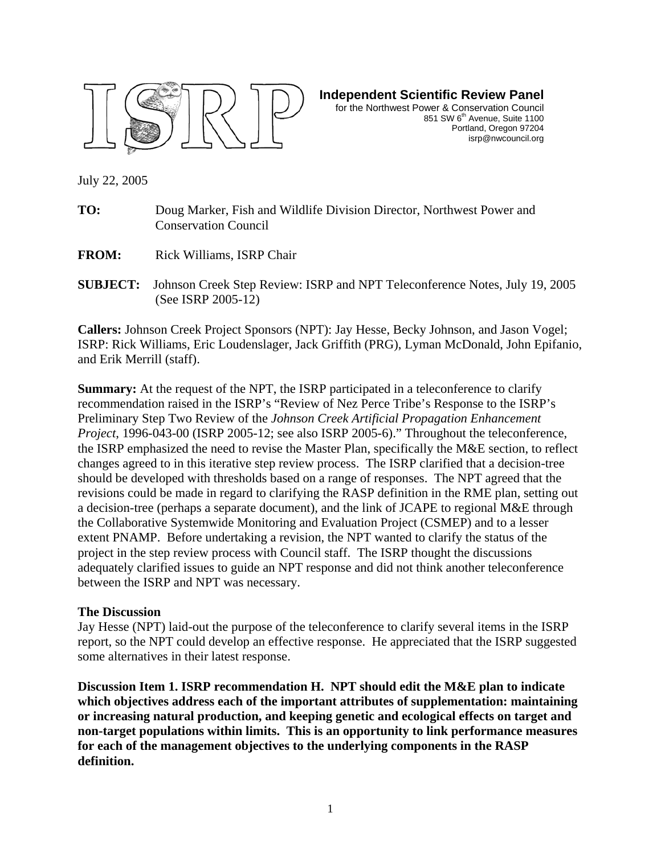

**Independent Scientific Review Panel** for the Northwest Power & Conservation Council 851 SW 6<sup>th</sup> Avenue, Suite 1100 Portland, Oregon 97204 isrp@nwcouncil.org

July 22, 2005

- **TO:** Doug Marker, Fish and Wildlife Division Director, Northwest Power and Conservation Council
- **FROM:** Rick Williams, ISRP Chair
- **SUBJECT:** Johnson Creek Step Review: ISRP and NPT Teleconference Notes, July 19, 2005 (See ISRP 2005-12)

**Callers:** Johnson Creek Project Sponsors (NPT): Jay Hesse, Becky Johnson, and Jason Vogel; ISRP: Rick Williams, Eric Loudenslager, Jack Griffith (PRG), Lyman McDonald, John Epifanio, and Erik Merrill (staff).

**Summary:** At the request of the NPT, the ISRP participated in a teleconference to clarify recommendation raised in the ISRP's "Review of Nez Perce Tribe's Response to the ISRP's Preliminary Step Two Review of the *Johnson Creek Artificial Propagation Enhancement Project*, 1996-043-00 (ISRP 2005-12; see also ISRP 2005-6)." Throughout the teleconference, the ISRP emphasized the need to revise the Master Plan, specifically the M&E section, to reflect changes agreed to in this iterative step review process. The ISRP clarified that a decision-tree should be developed with thresholds based on a range of responses. The NPT agreed that the revisions could be made in regard to clarifying the RASP definition in the RME plan, setting out a decision-tree (perhaps a separate document), and the link of JCAPE to regional M&E through the Collaborative Systemwide Monitoring and Evaluation Project (CSMEP) and to a lesser extent PNAMP. Before undertaking a revision, the NPT wanted to clarify the status of the project in the step review process with Council staff. The ISRP thought the discussions adequately clarified issues to guide an NPT response and did not think another teleconference between the ISRP and NPT was necessary.

## **The Discussion**

Jay Hesse (NPT) laid-out the purpose of the teleconference to clarify several items in the ISRP report, so the NPT could develop an effective response. He appreciated that the ISRP suggested some alternatives in their latest response.

**Discussion Item 1. ISRP recommendation H. NPT should edit the M&E plan to indicate which objectives address each of the important attributes of supplementation: maintaining or increasing natural production, and keeping genetic and ecological effects on target and non-target populations within limits. This is an opportunity to link performance measures for each of the management objectives to the underlying components in the RASP definition.**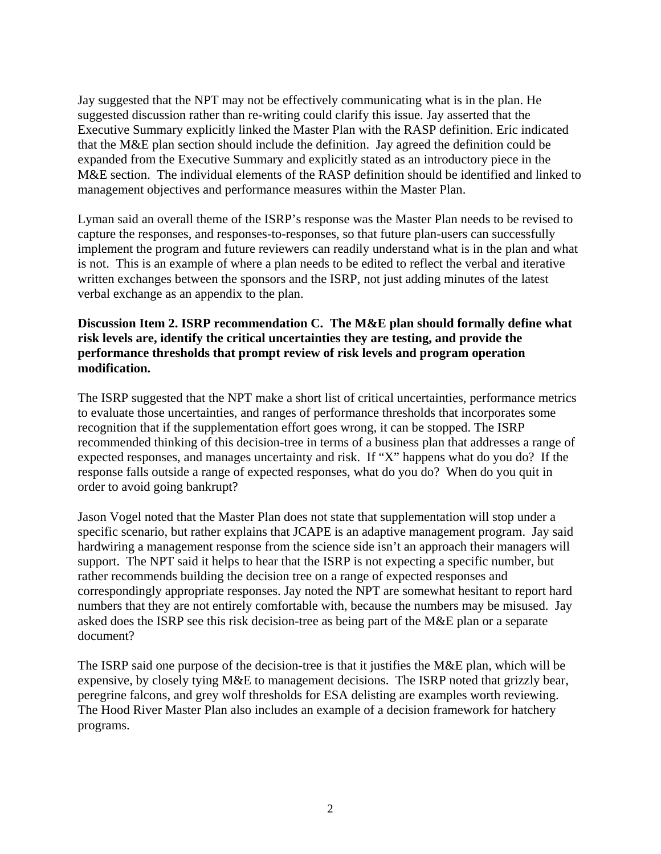Jay suggested that the NPT may not be effectively communicating what is in the plan. He suggested discussion rather than re-writing could clarify this issue. Jay asserted that the Executive Summary explicitly linked the Master Plan with the RASP definition. Eric indicated that the M&E plan section should include the definition. Jay agreed the definition could be expanded from the Executive Summary and explicitly stated as an introductory piece in the M&E section. The individual elements of the RASP definition should be identified and linked to management objectives and performance measures within the Master Plan.

Lyman said an overall theme of the ISRP's response was the Master Plan needs to be revised to capture the responses, and responses-to-responses, so that future plan-users can successfully implement the program and future reviewers can readily understand what is in the plan and what is not. This is an example of where a plan needs to be edited to reflect the verbal and iterative written exchanges between the sponsors and the ISRP, not just adding minutes of the latest verbal exchange as an appendix to the plan.

## **Discussion Item 2. ISRP recommendation C. The M&E plan should formally define what risk levels are, identify the critical uncertainties they are testing, and provide the performance thresholds that prompt review of risk levels and program operation modification.**

The ISRP suggested that the NPT make a short list of critical uncertainties, performance metrics to evaluate those uncertainties, and ranges of performance thresholds that incorporates some recognition that if the supplementation effort goes wrong, it can be stopped. The ISRP recommended thinking of this decision-tree in terms of a business plan that addresses a range of expected responses, and manages uncertainty and risk. If "X" happens what do you do? If the response falls outside a range of expected responses, what do you do? When do you quit in order to avoid going bankrupt?

Jason Vogel noted that the Master Plan does not state that supplementation will stop under a specific scenario, but rather explains that JCAPE is an adaptive management program. Jay said hardwiring a management response from the science side isn't an approach their managers will support. The NPT said it helps to hear that the ISRP is not expecting a specific number, but rather recommends building the decision tree on a range of expected responses and correspondingly appropriate responses. Jay noted the NPT are somewhat hesitant to report hard numbers that they are not entirely comfortable with, because the numbers may be misused. Jay asked does the ISRP see this risk decision-tree as being part of the M&E plan or a separate document?

The ISRP said one purpose of the decision-tree is that it justifies the M&E plan, which will be expensive, by closely tying M&E to management decisions. The ISRP noted that grizzly bear, peregrine falcons, and grey wolf thresholds for ESA delisting are examples worth reviewing. The Hood River Master Plan also includes an example of a decision framework for hatchery programs.